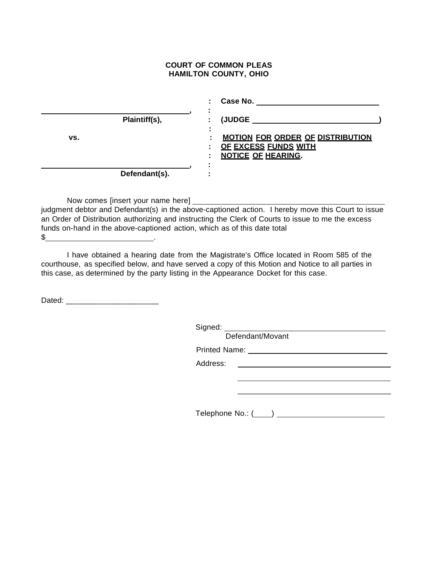## **COURT OF COMMON PLEAS HAMILTON COUNTY, OHIO**

|     |               |   | Case No.                                                                                            |
|-----|---------------|---|-----------------------------------------------------------------------------------------------------|
|     | Plaintiff(s), | ٠ | <b>(JUDGE</b>                                                                                       |
| VS. |               |   | <b>MOTION FOR ORDER OF DISTRIBUTION</b><br><b>OF EXCESS FUNDS WITH</b><br><b>NOTICE OF HEARING.</b> |
|     |               |   |                                                                                                     |
|     | Defendant(s). |   |                                                                                                     |

Now comes [insert your name here]

judgment debtor and Defendant(s) in the above-captioned action. I hereby move this Court to issue an Order of Distribution authorizing and instructing the Clerk of Courts to issue to me the excess funds on-hand in the above-captioned action, which as of this date total

 $\frac{1}{2}$ 

I have obtained a hearing date from the Magistrate's Office located in Room 585 of the courthouse, as specified below, and have served a copy of this Motion and Notice to all parties in this case, as determined by the party listing in the Appearance Docket for this case.

Dated:  $\Box$ 

Signed:

Defendant/Movant

Printed Name:

Address:

Telephone No.: ( )

\_\_\_\_\_\_\_\_\_\_\_\_\_\_\_\_\_\_\_\_\_\_\_\_\_\_\_\_\_\_\_\_\_\_\_\_